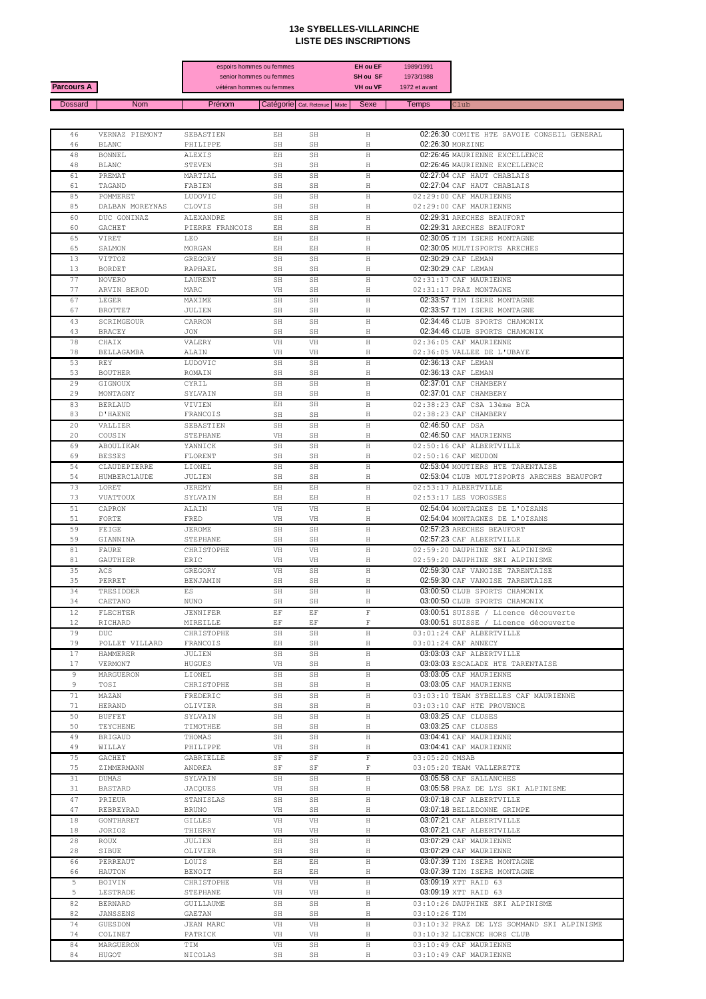## **13e SYBELLES-VILLARINCHE LISTE DES INSCRIPTIONS**

|                   |                     |                       | espoirs hommes ou femmes                            |               | <b>EH ou EF</b><br>SH ou SF | 1989/1991                  |                                            |
|-------------------|---------------------|-----------------------|-----------------------------------------------------|---------------|-----------------------------|----------------------------|--------------------------------------------|
| <b>Parcours A</b> |                     |                       | senior hommes ou femmes<br>vétéran hommes ou femmes |               | <b>VH ou VF</b>             | 1973/1988<br>1972 et avant |                                            |
| <b>Dossard</b>    | <b>Nom</b>          | Prénom                | Catégorie   Cat. Retenue   Mixte                    |               | Sexe                        | <b>Temps</b>               | Club                                       |
|                   |                     |                       |                                                     |               |                             |                            |                                            |
| 46                | VERNAZ PIEMONT      | SEBASTIEN             | EH                                                  | SH            | Η                           |                            | 02:26:30 COMITE HTE SAVOIE CONSEIL GENERAL |
| 46                | <b>BLANC</b>        | PHILIPPE              | SH                                                  | SH            | Η                           |                            | 02:26:30 MORZINE                           |
| 48                | <b>BONNEL</b>       | <b>ALEXIS</b>         | EH                                                  | SH            | Η                           |                            | 02:26:46 MAURIENNE EXCELLENCE              |
| 48                | <b>BLANC</b>        | STEVEN                | SH                                                  | SH            | Η                           |                            | 02:26:46 MAURIENNE EXCELLENCE              |
| 61                | PREMAT              | MARTIAL               | SH                                                  | SH            | Н                           |                            | 02:27:04 CAF HAUT CHABLAIS                 |
| 61                | TAGAND              | FABIEN                | SH                                                  | SH            | Η                           |                            | 02:27:04 CAF HAUT CHABLAIS                 |
| 85                | POMMERET            | LUDOVIC               | SH                                                  | SH            | Н                           |                            | 02:29:00 CAF MAURIENNE                     |
| 85                | DALBAN MOREYNAS     | CLOVIS                | $\mathbb{SH}$                                       | SH            | Η                           |                            | 02:29:00 CAF MAURIENNE                     |
| 60                | DUC GONINAZ         | ALEXANDRE             | SH                                                  | SH            | Н                           |                            | 02:29:31 ARECHES BEAUFORT                  |
| 60                | <b>GACHET</b>       | PIERRE FRANCOIS       | ΕH                                                  | $\mathbb{SH}$ | Н                           |                            | 02:29:31 ARECHES BEAUFORT                  |
| 65                | VIRET               | LEO                   | EH                                                  | EH            | Н                           |                            | 02:30:05 TIM ISERE MONTAGNE                |
| 65                | SALMON              | MORGAN                | EH                                                  | EH            | Н                           |                            | 02:30:05 MULTISPORTS ARECHES               |
| 13                | VITTOZ              | GREGORY               | SH                                                  | SH            | Н                           |                            | 02:30:29 CAF LEMAN                         |
| 13                | BORDET              | RAPHAEL               | SH                                                  | SH            | Η                           |                            | 02:30:29 CAF LEMAN                         |
| 77                | NOVERO              | LAURENT               | SH                                                  | SH            | Н                           |                            | 02:31:17 CAF MAURIENNE                     |
| 77                | ARVIN BEROD         | MARC                  | VH                                                  | SH            | Η                           |                            | 02:31:17 PRAZ MONTAGNE                     |
| 67                | LEGER               | MAXIME                | SH                                                  | SH            | H                           |                            | 02:33:57 TIM ISERE MONTAGNE                |
| 67                | <b>BROTTET</b>      | JULIEN                | SH                                                  | SH            | Η                           |                            | 02:33:57 TIM ISERE MONTAGNE                |
| 43                | SCRIMGEOUR          | CARRON                | SH                                                  | SH            | Н                           |                            | 02:34:46 CLUB SPORTS CHAMONIX              |
| 43                | BRACEY              | JON                   | SH                                                  | SH            | Η                           |                            | 02:34:46 CLUB SPORTS CHAMONIX              |
| 78                | CHAIX               | VALERY                | VH                                                  | VH            | Н                           |                            | 02:36:05 CAF MAURIENNE                     |
| 78                | BELLAGAMBA          | ALAIN                 | VH                                                  | VH            | Η                           |                            | 02:36:05 VALLEE DE L'UBAYE                 |
| 53                | <b>REY</b>          | LUDOVIC               | SH                                                  | SH            | Н                           |                            | 02:36:13 CAF LEMAN                         |
| 53                | <b>BOUTHER</b>      | ROMAIN                | SH                                                  | SH            | Н                           |                            | 02:36:13 CAF LEMAN                         |
| 29                | GIGNOUX             | CYRIL                 | SH                                                  | SH            | Н                           |                            | 02:37:01 CAF CHAMBERY                      |
| 29                | MONTAGNY            | SYLVAIN               | SH                                                  | SH            | Η                           |                            | 02:37:01 CAF CHAMBERY                      |
| 83                | <b>BERLAUD</b>      | VIVIEN                | ЕH                                                  | SΗ            | H                           |                            | 02:38:23 CAF CSA 13ème BCA                 |
| 83                | D'HAENE             | FRANCOIS              | SH                                                  | SH            | Н                           |                            | 02:38:23 CAF CHAMBERY                      |
| 20                | VALLIER             | SEBASTIEN             | SH                                                  | SH            | Н                           |                            | 02:46:50 CAF DSA                           |
| 20                | COUSIN              | STEPHANE              | VH                                                  | SH            | H                           |                            | 02:46:50 CAF MAURIENNE                     |
| 69                | ABOULIKAM           | YANNICK               | SH                                                  | SH            | Н                           |                            | 02:50:16 CAF ALBERTVILLE                   |
| 69                | <b>BESSES</b>       | FLORENT               | SH                                                  | SH            | Н                           |                            | $02:50:16$ CAF MEUDON                      |
| 54                | CLAUDEPIERRE        | LIONEL                | SH                                                  | SH            | H                           |                            | 02:53:04 MOUTIERS HTE TARENTAISE           |
| 54                | HUMBERCLAUDE        | JULIEN                | SH                                                  | SH            | H                           |                            | 02:53:04 CLUB MULTISPORTS ARECHES BEAUFORT |
| 73                | LORET               | JEREMY                | EH                                                  | EH            | H                           |                            | 02:53:17 ALBERTVILLE                       |
| 73                | VUATTOUX            | SYLVAIN               | ЕH                                                  | EH            | H                           |                            | 02:53:17 LES VOROSSES                      |
| 51                | CAPRON              | ALAIN                 | VH                                                  | VH            | Н                           |                            | 02:54:04 MONTAGNES DE L'OISANS             |
| 51                | FORTE               | FRED                  | VH                                                  | VH            | Н                           |                            | 02:54:04 MONTAGNES DE L'OISANS             |
| 59                | FEIGE               | JEROME                | SH                                                  | SH            | Н                           |                            | 02:57:23 ARECHES BEAUFORT                  |
| 59                | GIANNINA            | STEPHANE              | SH                                                  | SH            | Н                           |                            | 02:57:23 CAF ALBERTVILLE                   |
| 81                | FAURE               | CHRISTOPHE            | VH                                                  | VH            | Н                           |                            | 02:59:20 DAUPHINE SKI ALPINISME            |
| 81                | GAUTHIER            | ERIC                  | VH                                                  | VH            | H                           |                            | 02:59:20 DAUPHINE SKI ALPINISME            |
| 35                | ACS                 | GREGORY               | VH                                                  | SH            | Н                           |                            | 02:59:30 CAF VANOISE TARENTAISE            |
| 35                | PERRET              | BENJAMIN              | SH                                                  | SH            | Н                           |                            | 02:59:30 CAF VANOISE TARENTAISE            |
| 34                | TRESIDDER           | ES                    | SH                                                  | SH            | Н                           |                            | 03:00:50 CLUB SPORTS CHAMONIX              |
| 34                | CAETANO             | NUNO                  | SH                                                  | SH            | Н                           |                            | 03:00:50 CLUB SPORTS CHAMONIX              |
| 12                | FLECHTER            | JENNIFER              | EF.                                                 | ΕF            | F                           |                            | 03:00:51 SUISSE / Licence découverte       |
| 12                | RICHARD             | MIREILLE              | ΕF                                                  | ΕF            | F                           |                            | 03:00:51 SUISSE / Licence découverte       |
| 79                | DUC .               | CHRISTOPHE            | SH                                                  | SH            | H                           |                            | 03:01:24 CAF ALBERTVILLE                   |
| 79                | POLLET VILLARD      | FRANCOIS              | ЕH                                                  | SH            | H                           |                            | $03:01:24$ CAF ANNECY                      |
| 17                | HAMMERER            | JULIEN                | SH                                                  | SH            | H                           |                            | 03:03:03 CAF ALBERTVILLE                   |
| 17                | VERMONT             | HUGUES                | VH                                                  | SH            | H                           |                            | 03:03:03 ESCALADE HTE TARENTAISE           |
| 9                 | MARGUERON           | LIONEL                | SH                                                  | SH            | Н                           |                            | 03:03:05 CAF MAURIENNE                     |
| 9                 | TOSI                | CHRISTOPHE            | SH                                                  | SH            | Н                           |                            | 03:03:05 CAF MAURIENNE                     |
| 71                | MAZAN               | FREDERIC              | SH                                                  | SH            | H                           |                            | 03:03:10 TEAM SYBELLES CAF MAURIENNE       |
| 71                | HERAND              | OLIVIER               | SH                                                  | SH            | Н                           |                            | 03:03:10 CAF HTE PROVENCE                  |
| 50                | <b>BUFFET</b>       | SYLVAIN               | SH                                                  | SH            | H                           |                            | 03:03:25 CAF CLUSES                        |
| 50                | TEYCHENE            | TIMOTHEE              | SH                                                  | SH            | Η                           |                            | 03:03:25 CAF CLUSES                        |
| 49                | <b>BRIGAUD</b>      | THOMAS                | SH                                                  | SH            | H                           |                            | 03:04:41 CAF MAURIENNE                     |
| 49<br>75          | WILLAY<br>GACHET    | PHILIPPE<br>GABRIELLE | VH<br>SF                                            | SH<br>SF      | Н<br>F                      | 03:05:20 CMSAB             | 03:04:41 CAF MAURIENNE                     |
| 75                | ZIMMERMANN          | ANDREA                | SF                                                  | SF            | F                           |                            | 03:05:20 TEAM VALLERETTE                   |
| 31                | DUMAS               | SYLVAIN               | SH                                                  | SH            | H                           |                            | 03:05:58 CAF SALLANCHES                    |
| 31                | BASTARD             | JACQUES               | VH                                                  | SH            | Н                           |                            | 03:05:58 PRAZ DE LYS SKI ALPINISME         |
| 47                | PRIEUR              | STANISLAS             | SH                                                  | SH            | H                           |                            | 03:07:18 CAF ALBERTVILLE                   |
| 47                | REBREYRAD           | BRUNO                 | VH                                                  | SH            | H                           |                            | 03:07:18 BELLEDONNE GRIMPE                 |
| 18                | GONTHARET           | GILLES                | VH                                                  | VH            | Η                           |                            | 03:07:21 CAF ALBERTVILLE                   |
| 18                | JORIOZ              | THIERRY               | VH                                                  | VH            | H                           |                            | 03:07:21 CAF ALBERTVILLE                   |
| 28                | ROUX                | JULIEN                | EH                                                  | SH            | Н                           |                            | 03:07:29 CAF MAURIENNE                     |
| 28                | SIBUE               | OLIVIER               | SH                                                  | SH            | Н                           |                            | 03:07:29 CAF MAURIENNE                     |
| 66                | PERREAUT            | LOUIS                 | EH                                                  | EH            | H                           |                            | 03:07:39 TIM ISERE MONTAGNE                |
| 66                | HAUTON              | BENOIT                | ΕH                                                  | ΕH            | Н                           |                            | 03:07:39 TIM ISERE MONTAGNE                |
| 5                 | BOIVIN              | CHRISTOPHE            | VH                                                  | VH            | Η                           |                            | 03:09:19 XTT RAID 63                       |
| 5                 | LESTRADE            | STEPHANE              | VH                                                  | VH            | Н                           |                            | 03:09:19 XTT RAID 63                       |
| 82                | <b>BERNARD</b>      | GUILLAUME             | SH                                                  | SH            | Н                           |                            | 03:10:26 DAUPHINE SKI ALPINISME            |
| 82<br>74          | JANSSENS<br>GUESDON | GAETAN<br>JEAN MARC   | SH<br>VH                                            | SH<br>VH      | Η<br>Н                      | 03:10:26 TIM               | 03:10:32 PRAZ DE LYS SOMMAND SKI ALPINISME |
| 74                | COLINET             | PATRICK               | VH                                                  | VH            | Н                           |                            | 03:10:32 LICENCE HORS CLUB                 |
| 84                | MARGUERON           | TIM                   | VH                                                  | SH            | H                           |                            | 03:10:49 CAF MAURIENNE                     |
| 84                | HUGOT               | NICOLAS               | SH                                                  | SH            | Η                           |                            | 03:10:49 CAF MAURIENNE                     |